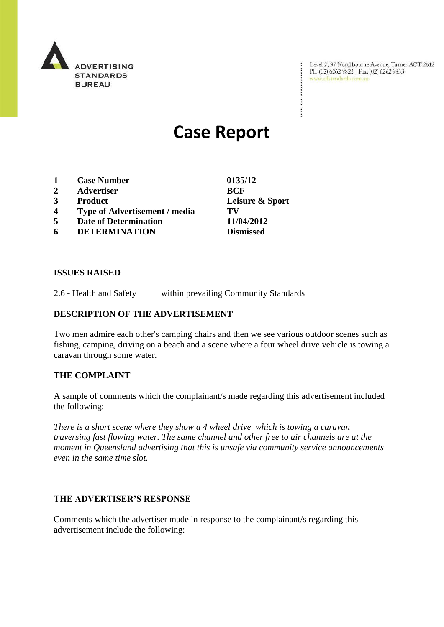

Level 2, 97 Northbourne Avenue, Turner ACT 2612<br>Ph: (02) 6262 9822 | Fax: (02) 6262 9833<br>www.adstandards.com.au

# **Case Report**

- **1 Case Number 0135/12**
- **2 Advertiser BCF**
- 
- **4 Type of Advertisement / media TV**
- **5 Date of Determination 11/04/2012**
- **6 DETERMINATION Dismissed**

**ISSUES RAISED**

2.6 - Health and Safety within prevailing Community Standards

## **DESCRIPTION OF THE ADVERTISEMENT**

Two men admire each other's camping chairs and then we see various outdoor scenes such as fishing, camping, driving on a beach and a scene where a four wheel drive vehicle is towing a caravan through some water.

## **THE COMPLAINT**

A sample of comments which the complainant/s made regarding this advertisement included the following:

*There is a short scene where they show a 4 wheel drive which is towing a caravan traversing fast flowing water. The same channel and other free to air channels are at the moment in Queensland advertising that this is unsafe via community service announcements even in the same time slot.*

## **THE ADVERTISER'S RESPONSE**

Comments which the advertiser made in response to the complainant/s regarding this advertisement include the following:

**3 Product Leisure & Sport**

÷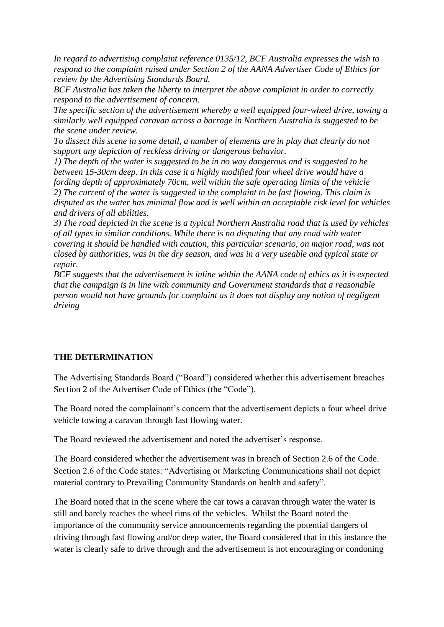*In regard to advertising complaint reference 0135/12, BCF Australia expresses the wish to respond to the complaint raised under Section 2 of the AANA Advertiser Code of Ethics for review by the Advertising Standards Board.*

*BCF Australia has taken the liberty to interpret the above complaint in order to correctly respond to the advertisement of concern.*

*The specific section of the advertisement whereby a well equipped four-wheel drive, towing a similarly well equipped caravan across a barrage in Northern Australia is suggested to be the scene under review.*

*To dissect this scene in some detail, a number of elements are in play that clearly do not support any depiction of reckless driving or dangerous behavior.*

*1) The depth of the water is suggested to be in no way dangerous and is suggested to be between 15-30cm deep. In this case it a highly modified four wheel drive would have a fording depth of approximately 70cm, well within the safe operating limits of the vehicle 2) The current of the water is suggested in the complaint to be fast flowing. This claim is disputed as the water has minimal flow and is well within an acceptable risk level for vehicles and drivers of all abilities.*

*3) The road depicted in the scene is a typical Northern Australia road that is used by vehicles of all types in similar conditions. While there is no disputing that any road with water covering it should be handled with caution, this particular scenario, on major road, was not closed by authorities, was in the dry season, and was in a very useable and typical state or repair.*

*BCF suggests that the advertisement is inline within the AANA code of ethics as it is expected that the campaign is in line with community and Government standards that a reasonable person would not have grounds for complaint as it does not display any notion of negligent driving*

## **THE DETERMINATION**

The Advertising Standards Board ("Board") considered whether this advertisement breaches Section 2 of the Advertiser Code of Ethics (the "Code").

The Board noted the complainant's concern that the advertisement depicts a four wheel drive vehicle towing a caravan through fast flowing water.

The Board reviewed the advertisement and noted the advertiser's response.

The Board considered whether the advertisement was in breach of Section 2.6 of the Code. Section 2.6 of the Code states: "Advertising or Marketing Communications shall not depict material contrary to Prevailing Community Standards on health and safety".

The Board noted that in the scene where the car tows a caravan through water the water is still and barely reaches the wheel rims of the vehicles. Whilst the Board noted the importance of the community service announcements regarding the potential dangers of driving through fast flowing and/or deep water, the Board considered that in this instance the water is clearly safe to drive through and the advertisement is not encouraging or condoning